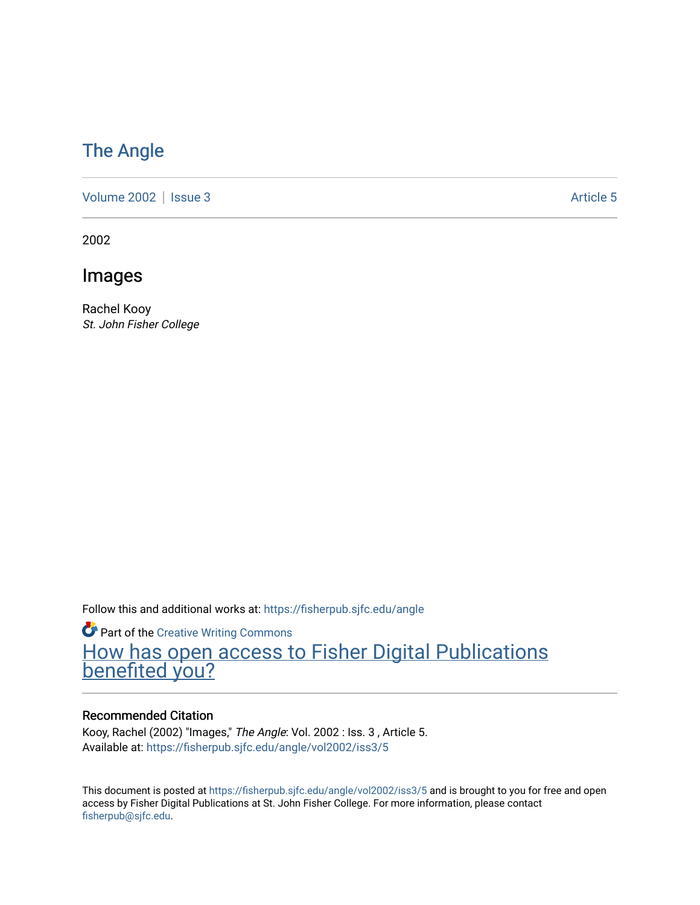## [The Angle](https://fisherpub.sjfc.edu/angle)

[Volume 2002](https://fisherpub.sjfc.edu/angle/vol2002) | [Issue 3](https://fisherpub.sjfc.edu/angle/vol2002/iss3) Article 5

2002

Images

Rachel Kooy St. John Fisher College

Follow this and additional works at: [https://fisherpub.sjfc.edu/angle](https://fisherpub.sjfc.edu/angle?utm_source=fisherpub.sjfc.edu%2Fangle%2Fvol2002%2Fiss3%2F5&utm_medium=PDF&utm_campaign=PDFCoverPages)

**Part of the Creative Writing Commons** [How has open access to Fisher Digital Publications](https://docs.google.com/forms/d/14zrnDfH9d1wcdq8oG_-gFabAsxfcH5claltx85ZWyTg/viewform?entry.1394608989=https://fisherpub.sjfc.edu/angle/vol2002/iss3/5%3Chttps://docs.google.com/forms/d/14zrnDfH9d1wcdq8oG_-gFabAsxfcH5claltx85ZWyTg/viewform?entry.1394608989=%7bhttps://fisherpub.sjfc.edu/angle/vol2002/iss3/5%7d) [benefited you?](https://docs.google.com/forms/d/14zrnDfH9d1wcdq8oG_-gFabAsxfcH5claltx85ZWyTg/viewform?entry.1394608989=https://fisherpub.sjfc.edu/angle/vol2002/iss3/5%3Chttps://docs.google.com/forms/d/14zrnDfH9d1wcdq8oG_-gFabAsxfcH5claltx85ZWyTg/viewform?entry.1394608989=%7bhttps://fisherpub.sjfc.edu/angle/vol2002/iss3/5%7d)

#### Recommended Citation

Kooy, Rachel (2002) "Images," The Angle: Vol. 2002 : Iss. 3 , Article 5. Available at: [https://fisherpub.sjfc.edu/angle/vol2002/iss3/5](https://fisherpub.sjfc.edu/angle/vol2002/iss3/5?utm_source=fisherpub.sjfc.edu%2Fangle%2Fvol2002%2Fiss3%2F5&utm_medium=PDF&utm_campaign=PDFCoverPages)

This document is posted at <https://fisherpub.sjfc.edu/angle/vol2002/iss3/5> and is brought to you for free and open access by Fisher Digital Publications at St. John Fisher College. For more information, please contact [fisherpub@sjfc.edu](mailto:fisherpub@sjfc.edu).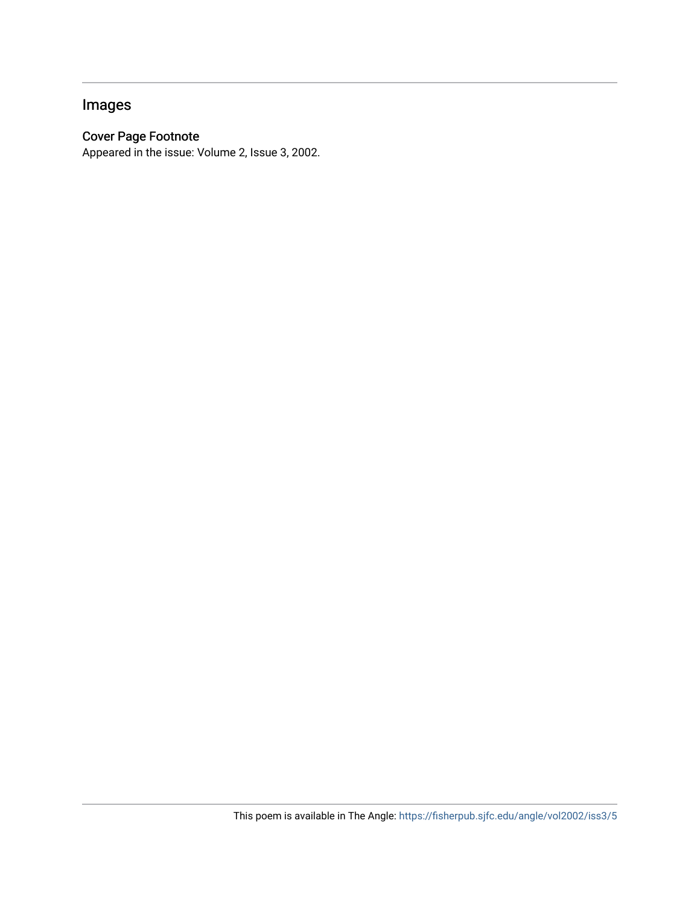### Images

#### Cover Page Footnote

Appeared in the issue: Volume 2, Issue 3, 2002.